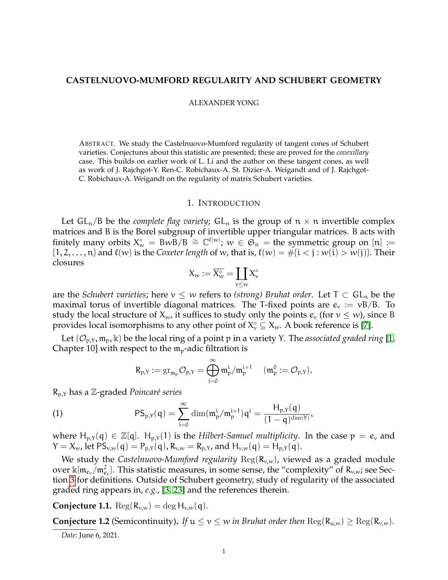## **CASTELNUOVO-MUMFORD REGULARITY AND SCHUBERT GEOMETRY**

#### ALEXANDER YONG

ABSTRACT. We study the Castelnuovo-Mumford regularity of tangent cones of Schubert varieties. Conjectures about this statistic are presented; these are proved for the *covexillary* case. This builds on earlier work of L. Li and the author on these tangent cones, as well as work of J. Rajchgot-Y. Ren-C. Robichaux-A. St. Dizier-A. Weigandt and of J. Rajchgot-C. Robichaux-A. Weigandt on the regularity of matrix Schubert varieties.

### 1. INTRODUCTION

Let  $GL_n/B$  be the *complete flag variety*;  $GL_n$  is the group of  $n \times n$  invertible complex matrices and B is the Borel subgroup of invertible upper triangular matrices. B acts with finitely many orbits  $X_{w}^{\circ} = BwB/B \cong \mathbb{C}^{\ell(w)}$ ;  $w \in \mathfrak{S}_n$  = the symmetric group on [n] :=  $\{1, 2, \ldots, n\}$  and  $\ell(w)$  is the *Coxeter length* of w, that is,  $\ell(w) = #\{i < j : w(i) > w(j)\}$ . Their closures

$$
X_w:=\overline{X^\circ_w}=\coprod_{\nu\leq w}X^\circ_\nu
$$

are the *Schubert varieties*; here  $v \leq w$  refers to *(strong) Bruhat order*. Let  $T \subset GL_n$  be the maximal torus of invertible diagonal matrices. The T-fixed points are  $e_v := vB/B$ . To study the local structure of  $X_w$ , it suffices to study only the points  $e_v$  (for  $v \leq w$ ), since B provides local isomorphisms to any other point of  $X_{\nu}^{\circ} \subseteq X_{w}$ . A book reference is [\[7\]](#page-9-0).

Let  $(\mathcal{O}_{p,Y}, \mathfrak{m}_p, \mathbb{k})$  be the local ring of a point p in a variety Y. The *associated graded ring* [\[1,](#page-9-1) Chapter 10] with respect to the  $m_p$ -adic filtration is

<span id="page-0-2"></span>
$$
R_{p,Y} := \mathrm{gr}_{\mathfrak{m}_p} \mathcal{O}_{p,Y} = \bigoplus_{i=0}^{\infty} \mathfrak{m}_p^i / \mathfrak{m}_p^{i+1} \quad (\mathfrak{m}_p^0 := \mathcal{O}_{p,Y}).
$$

R<sub>p,Y</sub> has a Z-graded *Poincaré series* 

(1) 
$$
PS_{p,Y}(q) = \sum_{i=0}^{\infty} \dim(\mathfrak{m}_p^i / \mathfrak{m}_p^{i+1}) q^i = \frac{H_{p,Y}(q)}{(1-q)^{\dim(Y)}},
$$

where  $H_{p,Y}(q) \in \mathbb{Z}[q]$ .  $H_{p,Y}(1)$  is the *Hilbert-Samuel multiplicity*. In the case  $p = e_y$  and  $Y = X_{w}$ , let  $PS_{v,w}(q) = P_{p,Y}(q), R_{v,w} = R_{p,Y}$ , and  $H_{v,w}(q) = H_{p,Y}(q)$ .

We study the *Castelnuovo-Mumford regularity*  $\text{Reg}(R_{v,w})$ , viewed as a graded module over  $\kappa[m_{e_v}/m_{e_v}^2]$ . This statistic measures, in some sense, the "complexity" of  $R_{v,w}$ ; see Section [3](#page-3-0) for definitions. Outside of Schubert geometry, study of regularity of the associated graded ring appears in, *e.g.*, [\[3,](#page-9-2) [23\]](#page-9-3) and the references therein.

<span id="page-0-0"></span>**Conjecture 1.1.**  $\text{Reg}(R_{v,w}) = \text{deg } H_{v,w}(q)$ .

<span id="page-0-1"></span>**Conjecture 1.2** (Semicontinuity). *If*  $u \le v \le w$  *in Bruhat order then*  $\text{Reg}(R_{u,w}) \ge \text{Reg}(R_{v,w})$ *.* 

*Date*: June 6, 2021.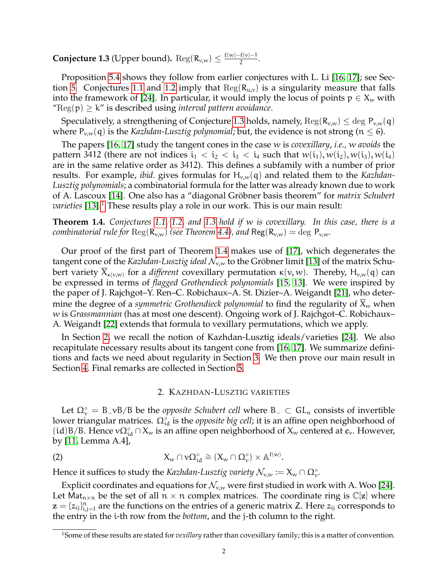<span id="page-1-0"></span>**Conjecture 1.3** (Upper bound).  $\text{Reg}(R_{v,w}) \leq \frac{\ell(w) - \ell(v) - 1}{2}$  $\frac{2}{2}$ .

Proposition [5.4](#page-7-0) shows they follow from earlier conjectures with L. Li [\[16,](#page-9-4) [17\]](#page-9-5); see Sec-tion [5.](#page-7-1) Conjectures [1.1](#page-0-0) and [1.2](#page-0-1) imply that  $\text{Reg}(R_{u,v})$  is a singularity measure that falls into the framework of [\[24\]](#page-9-6). In particular, it would imply the locus of points  $p \in X_w$  with " $Reg(p) \geq k$ " is described using *interval pattern avoidance*.

Speculatively, a strengthening of Conjecture [1.3](#page-1-0) holds, namely,  $\text{Reg}(R_{v,w}) \leq \text{deg } P_{v,w}(q)$ where  $P_{v,w}(q)$  is the *Kazhdan-Lusztig polynomial*; but, the evidence is not strong ( $n \leq 6$ ).

The papers [\[16,](#page-9-4) [17\]](#page-9-5) study the tangent cones in the case w is *covexillary*, *i.e.,* w *avoids* the pattern 3412 (there are not indices  $i_1 < i_2 < i_3 < i_4$  such that  $w(i_1), w(i_2), w(i_3), w(i_4)$ are in the same relative order as 3412). This defines a subfamily with a number of prior results. For example, *ibid*. gives formulas for H<sub>v,w</sub>(q) and related them to the *Kazhdan*-*Lusztig polynomials*; a combinatorial formula for the latter was already known due to work of A. Lascoux [\[14\]](#page-9-7). One also has a "diagonal Gröbner basis theorem" for *matrix Schubert varieties* [\[13\]](#page-9-8).<sup>[1](#page-1-1)</sup> These results play a role in our work. This is our main result:

<span id="page-1-2"></span>**Theorem 1.4.** *Conjectures [1.1,](#page-0-0) [1.2,](#page-0-1) and [1.3](#page-1-0) hold if* w *is covexillary. In this case, there is a combinatorial rule for*  $\text{Reg}(R_{v,w})$  *(see Theorem [4.4\)](#page-6-0), and*  $\text{Reg}(R_{v,w}) = \text{deg } P_{v,w}$ *.* 

Our proof of the first part of Theorem [1.4](#page-1-2) makes use of [\[17\]](#page-9-5), which degenerates the tangent cone of the *Kazhdan-Lusztig ideal*  $\mathcal{N}_{v,w}$  to the Gröbner limit [\[13\]](#page-9-8) of the matrix Schubert variety  $X_{\kappa(\nu,w)}$  for a *different* covexillary permutation  $\kappa(\nu,w)$ . Thereby,  $H_{\nu,w}(q)$  can be expressed in terms of *flagged Grothendieck polynomials* [\[15,](#page-9-9) [13\]](#page-9-8). We were inspired by the paper of J. Rajchgot–Y. Ren–C. Robichaux–A. St. Dizier–A. Weigandt [\[21\]](#page-9-10), who determine the degree of a *symmetric Grothendieck polynomial* to find the regularity of  $X_w$  when w is *Grassmannian* (has at most one descent). Ongoing work of J. Rajchgot–C. Robichaux– A. Weigandt [\[22\]](#page-9-11) extends that formula to vexillary permutations, which we apply.

In Section [2,](#page-1-3) we recall the notion of Kazhdan-Lusztig ideals/varieties [\[24\]](#page-9-6). We also recapitulate necessary results about its tangent cone from [\[16,](#page-9-4) [17\]](#page-9-5). We summarize definitions and facts we need about regularity in Section [3.](#page-3-0) We then prove our main result in Section [4.](#page-4-0) Final remarks are collected in Section [5.](#page-7-1)

## <span id="page-1-4"></span>2. KAZHDAN-LUSZTIG VARIETIES

<span id="page-1-3"></span>Let  $\Omega_{\nu}^{\circ} = B_{\nu}B/B$  be the *opposite Schubert cell* where  $B_{-} \subset GL_n$  consists of invertible lower triangular matrices. Ω $_{id}^{\circ}$  is the *opposite big cell;* it is an affine open neighborhood of (id)B/B. Hence  $v\Omega_{id}^{\circ} \cap X_w$  is an affine open neighborhood of  $X_w$  centered at  $e_v$ . However, by [\[11,](#page-9-12) Lemma A.4],

(2) 
$$
X_w \cap v\Omega_{\text{id}}^{\circ} \cong (X_w \cap \Omega_v^{\circ}) \times \mathbb{A}^{\ell(w)}.
$$

Hence it suffices to study the *Kazhdan-Lusztig variety*  $\mathcal{N}_{v,w} := X_w \cap \Omega_v^{\circ}$ *.* 

Explicit coordinates and equations for  $\mathcal{N}_{v,w}$  were first studied in work with A. Woo [\[24\]](#page-9-6). Let Mat<sub>n×n</sub> be the set of all  $n \times n$  complex matrices. The coordinate ring is  $\mathbb{C}[z]$  where  $z = \{z_{ij}\}_{i,j=1}^n$  are the functions on the entries of a generic matrix Z. Here  $z_{ij}$  corresponds to the entry in the i-th row from the *bottom*, and the j-th column to the right.

<span id="page-1-1"></span><sup>1</sup>Some of these results are stated for *vexillary* rather than covexillary family; this is a matter of convention.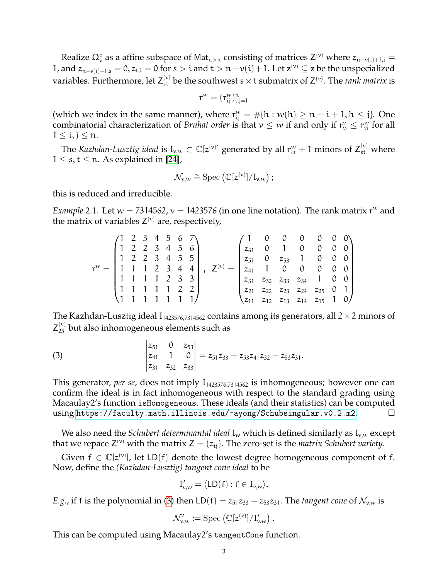Realize  $\Omega_v^{\circ}$  as a affine subspace of Mat<sub>n×n</sub> consisting of matrices Z<sup>(v)</sup> where  $z_{n-v(i)+1,i} =$ 1, and  $z_{n-v(i)+1,s} = 0$ ,  $z_{t,i} = 0$  for  $s > i$  and  $t > n-v(i)+1$ . Let  $\mathbf{z}^{(v)} \subseteq \mathbf{z}$  be the unspecialized variables. Furthermore, let  $Z_{st}^{(v)}$  be the southwest s  $\times$  t submatrix of  $Z^{(v)}$ . The *rank matrix* is

$$
r^w = (r_{ij}^w)_{i,j=1}^n
$$

(which we index in the same manner), where  $r_{ij}^w = \# \{h : w(h) \ge n - i + 1, h \le j\}$ . One combinatorial characterization of *Bruhat order* is that  $v \leq w$  if and only if  $r_{ij}^v \leq r_{ij}^w$  for all  $1 \leq i, j \leq n$ .

The *Kazhdan-Lusztig ideal* is  $I_{v,w}\subset \mathbb{C}[z^{(v)}]$  generated by all  $r_{st}^w+1$  minors of  $Z_{st}^{(v)}$  where  $1 \leq s, t \leq n$ . As explained in [\[24\]](#page-9-6),

$$
\mathcal{N}_{v,w} \cong \mathrm{Spec}\left(\mathbb{C}[z^{(v)}]/I_{v,w}\right);
$$

this is reduced and irreducible.

<span id="page-2-1"></span>*Example* 2.1. Let  $w = 7314562$ ,  $v = 1423576$  (in one line notation). The rank matrix  $r<sup>w</sup>$  and the matrix of variables  $Z^{(v)}$  are, respectively,

$$
r^w=\begin{pmatrix} 1 & 2 & 3 & 4 & 5 & 6 & 7 \\ 1 & 2 & 2 & 3 & 4 & 5 & 6 \\ 1 & 2 & 2 & 3 & 4 & 5 & 5 \\ 1 & 1 & 1 & 2 & 3 & 4 & 4 \\ 1 & 1 & 1 & 1 & 2 & 3 & 3 \\ 1 & 1 & 1 & 1 & 1 & 2 & 2 \\ 1 & 1 & 1 & 1 & 1 & 1 & 1 \end{pmatrix},\ \ Z^{(v)}=\begin{pmatrix} 1 & 0 & 0 & 0 & 0 & 0 & 0 \\ z_{61} & 0 & 1 & 0 & 0 & 0 & 0 \\ z_{51} & 0 & z_{53} & 1 & 0 & 0 & 0 \\ z_{41} & 1 & 0 & 0 & 0 & 0 & 0 \\ z_{21} & z_{32} & z_{33} & z_{34} & 1 & 0 & 0 \\ z_{21} & z_{22} & z_{23} & z_{24} & z_{25} & 0 & 1 \\ z_{11} & z_{12} & z_{13} & z_{14} & z_{15} & 1 & 0 \end{pmatrix}
$$

The Kazhdan-Lusztig ideal  $I_{1423576,7314562}$  contains among its generators, all  $2 \times 2$  minors of  $Z_{25}^{(v)}$  but also inhomogeneous elements such as

<span id="page-2-0"></span>(3) 
$$
\begin{vmatrix} z_{51} & 0 & z_{53} \\ z_{41} & 1 & 0 \\ z_{31} & z_{32} & z_{33} \end{vmatrix} = z_{51}z_{33} + z_{53}z_{41}z_{32} - z_{53}z_{31}.
$$

This generator, *per se*, does not imply I<sub>1423576,7314562</sub> is inhomogeneous; however one can confirm the ideal is in fact inhomogeneous with respect to the standard grading using Macaulay2's function isHomogeneous. These ideals (and their statistics) can be computed using <https://faculty.math.illinois.edu/~ayong/Schubsingular.v0.2.m2>.

We also need the *Schubert determinantal ideal*  $I_w$  which is defined similarly as  $I_{v,w}$  except that we repace  $Z^{(v)}$  with the matrix  $Z = (z_{ij})$ . The zero-set is the *matrix Schubert variety*.

Given  $f \in \mathbb{C}[z^{(v)}]$ , let LD(f) denote the lowest degree homogeneous component of f. Now, define the *(Kazhdan-Lusztig) tangent cone ideal* to be

$$
I'_{\nu,w}=\langle\mathsf{LD}(f):f\in I_{\nu,w}\rangle.
$$

*E.g.*, if f is the polynomial in [\(3\)](#page-2-0) then  $LD(f) = z_{51}z_{33} - z_{53}z_{31}$ . The *tangent cone* of  $\mathcal{N}_{v,w}$  is

$$
\mathcal{N}'_{v,w}:=\mathrm{Spec}\left(\mathbb{C}[z^{(v)}]/\mathrm{I}'_{v,w}\right).
$$

This can be computed using Macaulay2's tangentCone function.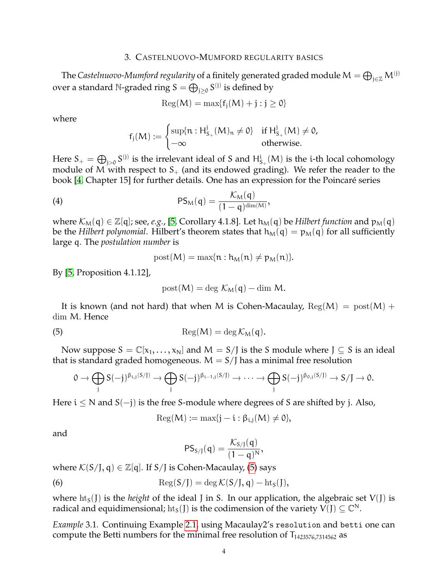### 3. CASTELNUOVO-MUMFORD REGULARITY BASICS

<span id="page-3-0"></span>The Castelnuovo-Mumford regularity of a finitely generated graded module  $\mathsf{M}=\bigoplus_{\mathfrak{j}\in\mathbb{Z}}\mathsf{M}^{(\mathfrak{j})}$ over a standard  $\mathbb N$ -graded ring  $\mathbb S = \bigoplus_{\mathfrak j \geq 0} \mathbb S^{(\mathfrak j)}$  is defined by

$$
\operatorname{Reg}(M) = \max\{f_j(M) + j : j \ge 0\}
$$

where

$$
f_j(M):=\begin{cases}\sup\{n: H^j_{S_+}(M)_n\neq 0\} & \text{if } H^j_{S_+}(M)\neq 0, \\ -\infty & \text{otherwise.}\end{cases}
$$

Here  $S_+=\bigoplus_{j>0}S^{(j)}$  is the irrelevant ideal of S and  $H^i_{S_+}(M)$  is the i-th local cohomology module of M with respect to  $S_+$  (and its endowed grading). We refer the reader to the book [\[4,](#page-9-13) Chapter 15] for further details. One has an expression for the Poincaré series

(4) 
$$
PS_M(q) = \frac{\mathcal{K}_M(q)}{(1-q)^{\dim(M)}},
$$

where  $\mathcal{K}_{M}(q) \in \mathbb{Z}[q]$ ; see, *e.g.*, [\[5,](#page-9-14) Corollary 4.1.8]. Let  $h_{M}(q)$  be *Hilbert function* and  $p_{M}(q)$ be the *Hilbert polynomial*. Hilbert's theorem states that  $h_M(q) = p_M(q)$  for all sufficiently large q. The *postulation number* is

<span id="page-3-3"></span>
$$
post(M) = \max\{n : h_M(n) \neq p_M(n)\}.
$$

By [\[5,](#page-9-14) Proposition 4.1.12],

<span id="page-3-1"></span>
$$
post(M) = \deg K_M(q) - \dim M.
$$

It is known (and not hard) that when M is Cohen-Macaulay,  $Reg(M) = post(M) +$ dim M. Hence

(5) 
$$
\operatorname{Reg}(M) = \deg \mathcal{K}_M(q).
$$

Now suppose  $S = \mathbb{C}[x_1, \ldots, x_N]$  and  $M = S/J$  is the S module where  $J \subseteq S$  is an ideal that is standard graded homogeneous.  $M = S/J$  has a minimal free resolution

$$
0 \to \bigoplus_j S(-j)^{\beta_{i,j}(S/J)} \to \bigoplus_j S(-j)^{\beta_{i-1,j}(S/J)} \to \cdots \to \bigoplus_j S(-j)^{\beta_{0,j}(S/J)} \to S/J \to 0.
$$

Here  $i < N$  and  $S(-j)$  is the free S-module where degrees of S are shifted by j. Also,

$$
\operatorname{Reg}(M) := \max\{j - i : \beta_{i,j}(M) \neq 0\},\
$$

and

<span id="page-3-2"></span>
$$
PS_{S/J}(q) = \frac{\mathcal{K}_{S/J}(q)}{(1-q)^N},
$$

where  $\mathcal{K}(S/I, q) \in \mathbb{Z}[q]$ . If  $S/I$  is Cohen-Macaulay, [\(5\)](#page-3-1) says

(6) 
$$
\operatorname{Reg}(S/J) = \deg \mathcal{K}(S/J, q) - \operatorname{ht}_{S}(J),
$$

where  $\text{ht}_{S}(J)$  is the *height* of the ideal J in S. In our application, the algebraic set  $V(J)$  is radical and equidimensional; ht<sub>s</sub>(J) is the codimension of the variety  $V(J) \subseteq \mathbb{C}^N$ .

<span id="page-3-4"></span>*Example* 3.1*.* Continuing Example [2.1,](#page-2-1) using Macaulay2's resolution and betti one can compute the Betti numbers for the minimal free resolution of  $T_{1423576,7314562}$  as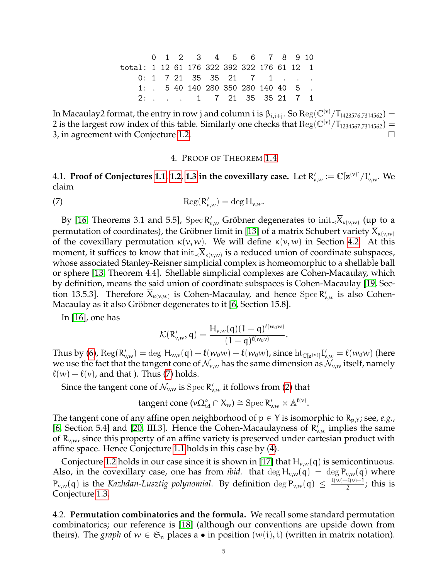0 1 2 3 4 5 6 7 8 9 10 total: 1 12 61 176 322 392 322 176 61 12 1 0: 1 7 21 35 35 21 7 1 1: . 5 40 140 280 350 280 140 40 5 2: . . . 1 7 21 35 35 21 7 1

In Macaulay2 format, the entry in row j and column i is  $\beta_{i,i+j}$ . So  $\text{Reg}(\mathbb{C}^{(v)}/T_{1423576,7314562}) =$ 2 is the largest row index of this table. Similarly one checks that  $Reg(\mathbb{C}^{(v)}/T_{1234567,7314562})$  = 3, in agreement with Conjecture [1.2.](#page-0-1)

### <span id="page-4-2"></span>4. PROOF OF THEOREM [1.4](#page-1-2)

<span id="page-4-0"></span>4.1. **Proof of Conjectures [1.1,](#page-0-0) [1.2,](#page-0-1) [1.3](#page-1-0) in the covexillary case.** Let  $R'_{v,w} := \mathbb{C}[\mathbf{z}^{(v)}]/\mathrm{I}'_{v,w}.$  We claim

(7) 
$$
\operatorname{Reg}(R'_{v,w}) = \deg H_{v,w}.
$$

By [\[16,](#page-9-4) Theorems 3.1 and 5.5], Spec  $R'_{v,w}$  Gröbner degenerates to  $\text{init}_{\prec} \overline{X}_{\kappa(v,w)}$  (up to a permutation of coordinates), the Gröbner limit in [\[13\]](#page-9-8) of a matrix Schubert variety  $X_{\kappa(\nu,w)}$ of the covexillary permutation  $κ(v, w)$ . We will define  $κ(v, w)$  in Section [4.2.](#page-4-1) At this moment, it suffices to know that  $\text{init}_{\prec} X_{\kappa(v,w)}$  is a reduced union of coordinate subspaces, whose associated Stanley-Reisner simplicial complex is homeomorphic to a shellable ball or sphere [\[13,](#page-9-8) Theorem 4.4]. Shellable simplicial complexes are Cohen-Macaulay, which by definition, means the said union of coordinate subspaces is Cohen-Macaulay [\[19,](#page-9-15) Section 13.5.3]. Therefore  $\overline{X}_{\kappa(\nu,\nu)}$  is Cohen-Macaulay, and hence  $\mathrm{Spec}\, \mathsf{R}'_{\nu,\nu}$  is also Cohen-Macaulay as it also Gröbner degenerates to it [\[6,](#page-9-16) Section 15.8].

In [\[16\]](#page-9-4), one has

$$
\mathcal{K}(R'_{v,w}, q) = \frac{H_{v,w}(q)(1-q)^{\ell(w_0w)}}{(1-q)^{\ell(w_0v)}}
$$

.

.

Thus by [\(6\)](#page-3-2),  $\text{Reg}(R'_{v,w}) = \text{deg } H_{w,v}(\mathfrak{q}) + \ell(w_0w) - \ell(w_0w)$ , since  $\text{ht}_{\mathbb{C}[\mathbf{z}^{(v)}]} I'_{v,w} = \ell(w_0w)$  (here we use the fact that the tangent cone of  $\mathcal{N}_{v,w}$  has the same dimension as  $\mathcal{N}_{v,w}$  itself, namely  $\ell(w) - \ell(v)$ , and that ). Thus [\(7\)](#page-4-2) holds.

Since the tangent cone of  $\mathcal{N}_{v,w}$  is  $\mathrm{Spec}\,\mathsf{R}'_{v,w}$  it follows from [\(2\)](#page-1-4) that

tangent cone 
$$
(v\Omega_{id}^{\circ} \cap X_w) \cong \text{Spec } R'_{v,w} \times \mathbb{A}^{\ell(v)}
$$

The tangent cone of any affine open neighborhood of  $p \in Y$  is isomorphic to  $R_{p,Y}$ ; see, *e.g.*, [\[6,](#page-9-16) Section 5.4] and [\[20,](#page-9-17) III.3]. Hence the Cohen-Macaulayness of  $R'_{v,w}$  implies the same of  $R_{v,w}$ , since this property of an affine variety is preserved under cartesian product with affine space. Hence Conjecture [1.1](#page-0-0) holds in this case by [\(4\)](#page-3-3).

Conjecture [1.2](#page-0-1) holds in our case since it is shown in [\[17\]](#page-9-5) that  $H_{v,w}(q)$  is semicontinuous. Also, in the covexillary case, one has from *ibid*. that  $\deg H_{v,w}(q) = \deg P_{v,w}(q)$  where  $P_{v,w}(q)$  is the *Kazhdan-Lusztig polynomial*. By definition  $\deg P_{v,w}(q) \leq \frac{\ell(w)-\ell(v)-1}{2}$  $\frac{\tau(v)-1}{2}$ ; this is Conjecture [1.3.](#page-1-0)

<span id="page-4-1"></span>4.2. **Permutation combinatorics and the formula.** We recall some standard permutation combinatorics; our reference is [\[18\]](#page-9-18) (although our conventions are upside down from theirs). The *graph* of  $w \in \mathfrak{S}_n$  places a • in position  $(w(i), i)$  (written in matrix notation).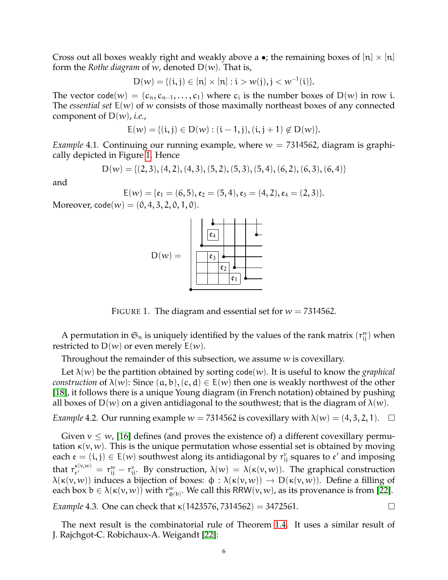Cross out all boxes weakly right and weakly above a •; the remaining boxes of  $[n] \times [n]$ form the *Rothe diagram* of w, denoted D(w). That is,

$$
D(w) = \{(i, j) \in [n] \times [n] : i > w(j), j < w^{-1}(i)\}.
$$

The vector code $(w) = (c_n, c_{n-1}, \ldots, c_1)$  where  $c_i$  is the number boxes of  $D(w)$  in row i. The *essential set* E(w) of w consists of those maximally northeast boxes of any connected component of D(w), *i.e.*,

$$
E(w) = \{(i, j) \in D(w) : (i - 1, j), (i, j + 1) \notin D(w)\}.
$$

*Example* 4.1. Continuing our running example, where  $w = 7314562$ , diagram is graphically depicted in Figure [1.](#page-5-0) Hence

$$
D(w) = \{(2,3), (4,2), (4,3), (5,2), (5,3), (5,4), (6,2), (6,3), (6,4)\}
$$

and

$$
E(w) = \{ \mathfrak{e}_1 = (6,5), \mathfrak{e}_2 = (5,4), \mathfrak{e}_3 = (4,2), \mathfrak{e}_4 = (2,3) \}.
$$

Moreover,  $\text{code}(w) = (0, 4, 3, 2, 0, 1, 0)$ .



<span id="page-5-0"></span>FIGURE 1. The diagram and essential set for  $w = 7314562$ .

A permutation in  $\mathfrak{S}_n$  is uniquely identified by the values of the rank matrix  $(r_{ij}^w)$  when restricted to  $D(w)$  or even merely  $E(w)$ .

Throughout the remainder of this subsection, we assume w is covexillary.

Let  $\lambda(w)$  be the partition obtained by sorting code(w). It is useful to know the *graphical construction* of  $\lambda(w)$ : Since  $(a, b)$ ,  $(c, d) \in E(w)$  then one is weakly northwest of the other [\[18\]](#page-9-18), it follows there is a unique Young diagram (in French notation) obtained by pushing all boxes of  $D(w)$  on a given antidiagonal to the southwest; that is the diagram of  $\lambda(w)$ .

*Example* 4.2. Our running example  $w = 7314562$  is covexillary with  $\lambda(w) = (4, 3, 2, 1)$ .  $\Box$ 

Given  $v \leq w$ , [\[16\]](#page-9-4) defines (and proves the existence of) a different covexillary permutation  $\kappa(v, w)$ . This is the unique permutation whose essential set is obtained by moving each  $\mathfrak{e} = (\mathfrak{i}, \mathfrak{j}) \in E(w)$  southwest along its antidiagonal by  $r_{\mathfrak{j}}^v$  squares to  $\mathfrak{e}'$  and imposing that  $r_{e'}^{\kappa(\nu,w)}$  $\mathbf{E}_{\mathbf{E}^{(v,w)}}^{(v,w)} = \mathbf{r}_{ij}^w - \mathbf{r}_{ij}^v$ . By construction,  $\lambda(w) = \lambda(\kappa(v,w))$ . The graphical construction  $\lambda(\kappa(v, w))$  induces a bijection of boxes:  $\phi : \lambda(\kappa(v, w)) \to D(\kappa(v, w))$ . Define a filling of each box  $b \in \lambda(\kappa(v,w))$  with  $r_{\varphi(b)}^w$ . We call this RRW $(v,w)$ , as its provenance is from [\[22\]](#page-9-11).

*Example* 4.3. One can check that  $\kappa$ (1423576, 7314562) = 3472561.

The next result is the combinatorial rule of Theorem [1.4.](#page-1-2) It uses a similar result of J. Rajchgot-C. Robichaux-A. Weigandt [\[22\]](#page-9-11):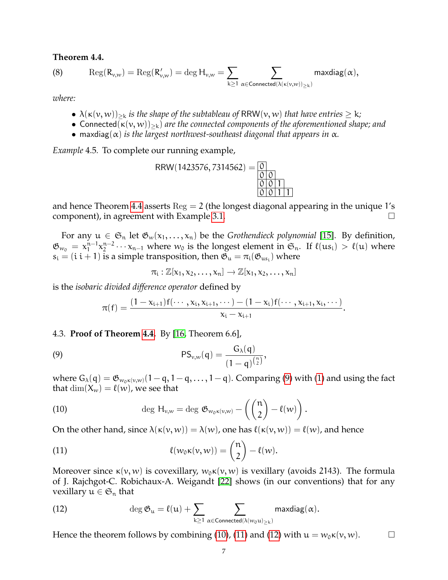# <span id="page-6-0"></span>**Theorem 4.4.**

<span id="page-6-5"></span>(8) 
$$
\operatorname{Reg}(R_{\nu,w}) = \operatorname{Reg}(R'_{\nu,w}) = \operatorname{deg} H_{\nu,w} = \sum_{k \geq 1} \sum_{\alpha \in \text{Connected}(\lambda(\kappa(\nu,w))_{\geq k})} \text{maxdiag}(\alpha),
$$

*where:*

- $\lambda(\kappa(\nu, \nu))_{\geq k}$  *is the shape of the subtableau of* RRW( $\nu, \nu$ ) *that have entries*  $\geq k$ *;*
- Connected( $\kappa(v, w)_{\geq k}$ ) *are the connected components of the aforementioned shape; and*
- maxdiag( $\alpha$ ) *is the largest northwest-southeast diagonal that appears in*  $\alpha$ *.*

*Example* 4.5*.* To complete our running example,

$$
RRW(1423576, 7314562) = \underbrace{\begin{array}{|c|c|}\n\hline\n0 & 0 \\
\hline\n0 & 0 & 1 \\
\hline\n0 & 0 & 1 & 1\n\end{array}}_{\hline\n\begin{array}{|c|c|}\n\hline\n0 & 0 & 1 \\
\hline\n0 & 0 & 1 & 1\n\end{array}}
$$

and hence Theorem [4.4](#page-6-0) asserts  $\text{Reg} = 2$  (the longest diagonal appearing in the unique 1's component), in agreement with Example [3.1.](#page-3-4)

For any  $u \in \mathfrak{S}_n$  let  $\mathfrak{G}_w(x_1,...,x_n)$  be the *Grothendieck polynomial* [\[15\]](#page-9-9). By definition,  $\mathfrak{G}_{w_0} \,=\, \mathsf{x}_1^{\mathsf{n}-1}$  $\sum_{1}^{n-1} x_2^{n-2}$  $\sum_{2}^{n-2} \cdots \chi_{n-1}$  where  $w_0$  is the longest element in  $\mathfrak{S}_n$ . If  $\ell(us_i) > \ell(u)$  where  $s_i = (i \ i+1)$  is a simple transposition, then  $\mathfrak{G}_u = \pi_i(\mathfrak{G}_{us_i})$  where

<span id="page-6-1"></span>
$$
\pi_i: \mathbb{Z}[x_1,x_2,\ldots,x_n] \to \mathbb{Z}[x_1,x_2,\ldots,x_n]
$$

is the *isobaric divided difference operator* defined by

$$
\pi(f)=\frac{(1-x_{i+1})f(\cdots,x_i,x_{i+1},\cdots)-(1-x_i)f(\cdots,x_{i+1},x_i,\cdots)}{x_i-x_{i+1}}.
$$

# 4.3. **Proof of Theorem [4.4.](#page-6-0)** By [\[16,](#page-9-4) Theorem 6.6],

(9) 
$$
PS_{v,w}(q) = \frac{G_{\lambda}(q)}{(1-q)^{\binom{n}{2}}},
$$

where  $G_{\lambda}(q) = \mathfrak{G}_{w_0 \kappa(v,w)}(1-q, 1-q, \ldots, 1-q)$ . Comparing [\(9\)](#page-6-1) with [\(1\)](#page-0-2) and using the fact that  $\dim(X_w) = \ell(w)$ , we see that

.

<span id="page-6-2"></span>(10) 
$$
\deg H_{\nu,w} = \deg \mathfrak{G}_{w_0\kappa(\nu,w)} - \left(\binom{n}{2} - \ell(w)\right)
$$

On the other hand, since  $\lambda(\kappa(v, w)) = \lambda(w)$ , one has  $\ell(\kappa(v, w)) = \ell(w)$ , and hence

<span id="page-6-3"></span>(11) 
$$
\ell(w_0\kappa(v,w)) = \binom{n}{2} - \ell(w).
$$

Moreover since  $\kappa(v, w)$  is covexillary,  $w_0 \kappa(v, w)$  is vexillary (avoids 2143). The formula of J. Rajchgot-C. Robichaux-A. Weigandt [\[22\]](#page-9-11) shows (in our conventions) that for any vexillary  $u \in \mathfrak{S}_n$  that

<span id="page-6-4"></span>(12) 
$$
\deg \mathfrak{G}_u = \ell(u) + \sum_{k \geq 1} \sum_{\alpha \in Connected(\lambda(w_0u)_{\geq k})} maxdiag(\alpha).
$$

Hence the theorem follows by combining [\(10\)](#page-6-2), [\(11\)](#page-6-3) and [\(12\)](#page-6-4) with  $u = w_0 \kappa(v, w)$ .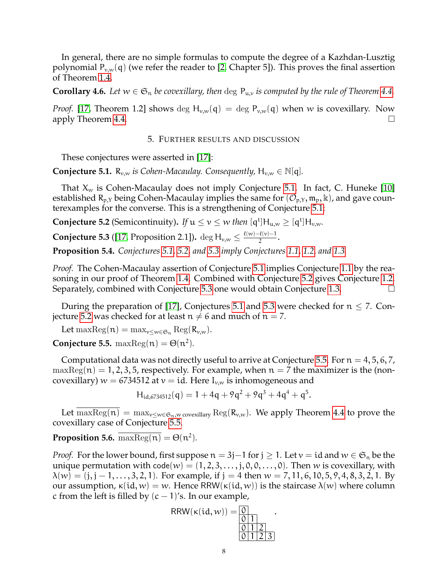In general, there are no simple formulas to compute the degree of a Kazhdan-Lusztig polynomial  $P_{v,w}(q)$  (we refer the reader to [\[2,](#page-9-19) Chapter 5]). This proves the final assertion of Theorem [1.4.](#page-1-2)

**Corollary 4.6.** Let  $w \in \mathfrak{S}_n$  be covexillary, then  $\deg P_{u,v}$  is computed by the rule of Theorem [4.4.](#page-6-0)

*Proof.* [\[17,](#page-9-5) Theorem 1.2] shows deg  $H_{v,w}(q) = \deg P_{v,w}(q)$  when w is covexillary. Now apply Theorem [4.4.](#page-6-0)  $\Box$ 

## 5. FURTHER RESULTS AND DISCUSSION

<span id="page-7-1"></span>These conjectures were asserted in [\[17\]](#page-9-5):

<span id="page-7-2"></span>**Conjecture 5.1.**  $R_{v,w}$  *is Cohen-Macaulay. Consequently,*  $H_{v,w} \in \mathbb{N}[q]$ *.* 

That  $X_w$  is Cohen-Macaulay does not imply Conjecture [5.1.](#page-7-2) In fact, C. Huneke [\[10\]](#page-9-20) established  $R_{p,Y}$  being Cohen-Macaulay implies the same for  $(\mathcal{O}_{p,Y}, \mathfrak{m}_p, \mathbb{k})$ , and gave counterexamples for the converse. This is a strengthening of Conjecture [5.1:](#page-7-2)

<span id="page-7-3"></span>**Conjecture 5.2** (Semicontinuity). If  $u \le v \le w$  *then*  $[q^t]H_{u,w} \ge [q^t]H_{v,w}$ .

<span id="page-7-4"></span>**Conjecture 5.3** ([\[17,](#page-9-5) Proposition 2.1]). deg H<sub>v,w</sub>  $\leq \frac{\ell(w)-\ell(v)-1}{2}$  $\frac{2}{2}$ .

<span id="page-7-0"></span>**Proposition 5.4.** *Conjectures [5.1,](#page-7-2) [5.2,](#page-7-3) and [5.3](#page-7-4) imply Conjectures [1.1,](#page-0-0) [1.2,](#page-0-1) and [1.3.](#page-1-0)*

*Proof.* The Cohen-Macaulay assertion of Conjecture [5.1](#page-7-2) implies Conjecture [1.1](#page-0-0) by the reasoning in our proof of Theorem [1.4.](#page-1-2) Combined with Conjecture [5.2](#page-7-3) gives Conjecture [1.2.](#page-0-1) Separately, combined with Conjecture [5.3](#page-7-4) one would obtain Conjecture [1.3.](#page-1-0)

During the preparation of [\[17\]](#page-9-5), Conjectures [5.1](#page-7-2) and [5.3](#page-7-4) were checked for  $n \le 7$ . Con-jecture [5.2](#page-7-3) was checked for at least  $n \neq 6$  and much of  $n = 7$ .

Let  $\max \text{Reg}(\mathfrak{n}) = \max_{v \leq w \in \mathfrak{S}_n} \text{Reg}(R_{v,w}).$ 

<span id="page-7-5"></span>**Conjecture 5.5.**  $\text{maxReg}(n) = \Theta(n^2)$ .

Computational data was not directly useful to arrive at Conjecture [5.5.](#page-7-5) For  $n = 4, 5, 6, 7$ ,  $maxReg(n) = 1, 2, 3, 5$ , respectively. For example, when  $n = 7$  the maximizer is the (noncovexillary)  $w = 6734512$  at  $v = id$ . Here  $I_{v,w}$  is inhomogeneous and

$$
H_{id,6734512}(q) = 1 + 4q + 9q^2 + 9q^3 + 4q^4 + q^5.
$$

Let  $\overline{\max \text{Reg}(\mathfrak{n})} = \max_{v \leq w \in \mathfrak{S}_{\mathfrak{n}}, w \text{ covexillary}} \text{Reg}(\mathcal{R}_{v,w})$ . We apply Theorem [4.4](#page-6-0) to prove the covexillary case of Conjecture [5.5.](#page-7-5)

<span id="page-7-6"></span>**Proposition 5.6.**  $\overline{\text{maxReg(n)}} = \Theta(n^2)$ .

*Proof.* For the lower bound, first suppose  $n = 3j-1$  for  $j \ge 1$ . Let  $v = id$  and  $w \in \mathfrak{S}_n$  be the unique permutation with code(w) =  $(1, 2, 3, \ldots, j, 0, 0, \ldots, 0)$ . Then w is covexillary, with  $\lambda(w) = (j, j-1, \ldots, 3, 2, 1)$ . For example, if  $j = 4$  then  $w = 7, 11, 6, 10, 5, 9, 4, 8, 3, 2, 1$ . By our assumption,  $κ(id, w) = w$ . Hence RRW( $κ(id, w)$ ) is the staircase  $λ(w)$  where column c from the left is filled by  $(c - 1)$ 's. In our example,

$$
RRW(\kappa(id, w)) = \underbrace{\begin{array}{c} 0 \\ 0 \\ 1 \end{array}}_{\begin{array}{c} 0 \\ 0 \\ 1 \end{array}}.
$$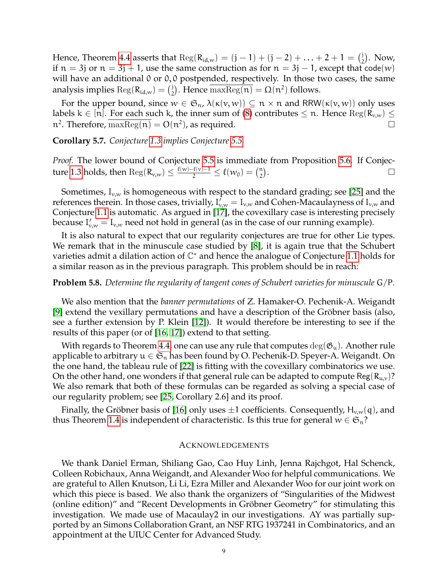Hence, Theorem [4.4](#page-6-0) asserts that  $\text{Reg}(R_{id,w}) = (j - 1) + (j - 2) + ... + 2 + 1 = {j \choose 2}$  $_{2}^{j}$ ). Now, if  $n = 3j$  or  $n = 3j + 1$ , use the same construction as for  $n = 3j - 1$ , except that code(w) will have an additional 0 or 0,0 postpended, respectively. In those two cases, the same analysis implies  $\text{Reg}(\mathsf{R}_{\text{id},w}) = \binom{1}{2}$ <sup>j</sup>). Hence  $\overline{\text{maxReg}(\textbf{n})} = \Omega(\textbf{n}^2)$  follows.

For the upper bound, since  $w \in \mathfrak{S}_n$ ,  $\lambda(\kappa(v,w)) \subseteq n \times n$  and RRW( $\kappa(v,w)$ ) only uses labels  $k \in [n]$ . For each such k, the inner sum of [\(8\)](#page-6-5) contributes  $\leq n$ . Hence  $\text{Reg}(R_{v,w}) \leq$  $n^2$ . Therefore,  $\overline{\text{maxReg}(n)} = O(n^2)$ , as required.

**Corollary 5.7.** *Conjecture [1.3](#page-1-0) implies Conjecture [5.5.](#page-7-5)*

*Proof.* The lower bound of Conjecture [5.5](#page-7-5) is immediate from Proposition [5.6.](#page-7-6) If Conjec-ture [1.3](#page-1-0) holds, then  $\text{Reg}(\mathsf{R}_{\nu,\nu}) \leq \frac{\ell(\nu)-\ell(\nu)-1}{2} \leq \ell(\nu_0) = \binom{n}{2}$ n)<br>2) .

Sometimes,  $I_{v,w}$  is homogeneous with respect to the standard grading; see [\[25\]](#page-9-21) and the references therein. In those cases, trivially,  $I_{v,w}^{\dagger}=I_{v,w}$  and Cohen-Macaulayness of  $I_{v,w}$  and Conjecture [1.1](#page-0-0) is automatic. As argued in [\[17\]](#page-9-5), the covexillary case is interesting precisely because  $I'_{v,w} = I_{v,w}$  need not hold in general (as in the case of our running example).

It is also natural to expect that our regularity conjectures are true for other Lie types. We remark that in the minuscule case studied by [\[8\]](#page-9-22), it is again true that the Schubert varieties admit a dilation action of C <sup>∗</sup> and hence the analogue of Conjecture [1.1](#page-0-0) holds for a similar reason as in the previous paragraph. This problem should be in reach:

## **Problem 5.8.** *Determine the regularity of tangent cones of Schubert varieties for minuscule* G/P*.*

We also mention that the *banner permutations* of Z. Hamaker-O. Pechenik-A. Weigandt [\[9\]](#page-9-23) extend the vexillary permutations and have a description of the Gröbner basis (also, see a further extension by P. Klein [\[12\]](#page-9-24)). It would therefore be interesting to see if the results of this paper (or of [\[16,](#page-9-4) [17\]](#page-9-5)) extend to that setting.

With regards to Theorem [4.4,](#page-6-0) one can use any rule that computes  $\deg(\mathfrak{G}_u)$ . Another rule applicable to arbitrary  $u \in \mathfrak{S}_n$  has been found by O. Pechenik-D. Speyer-A. Weigandt. On the one hand, the tableau rule of [\[22\]](#page-9-11) is fitting with the covexillary combinatorics we use. On the other hand, one wonders if that general rule can be adapted to compute Reg( $R_{u,v}$ )? We also remark that both of these formulas can be regarded as solving a special case of our regularity problem; see [\[25,](#page-9-21) Corollary 2.6] and its proof.

Finally, the Gröbner basis of [\[16\]](#page-9-4) only uses  $\pm 1$  coefficients. Consequently, H<sub>v,w</sub>(q), and thus Theorem [1.4](#page-1-2) is independent of characteristic. Is this true for general  $w \in \mathfrak{S}_n$ ?

### ACKNOWLEDGEMENTS

We thank Daniel Erman, Shiliang Gao, Cao Huy Linh, Jenna Rajchgot, Hal Schenck, Colleen Robichaux, Anna Weigandt, and Alexander Woo for helpful communications. We are grateful to Allen Knutson, Li Li, Ezra Miller and Alexander Woo for our joint work on which this piece is based. We also thank the organizers of "Singularities of the Midwest (online edition)" and "Recent Developments in Gröbner Geometry" for stimulating this investigation. We made use of Macaulay2 in our investigations. AY was partially supported by an Simons Collaboration Grant, an NSF RTG 1937241 in Combinatorics, and an appointment at the UIUC Center for Advanced Study.